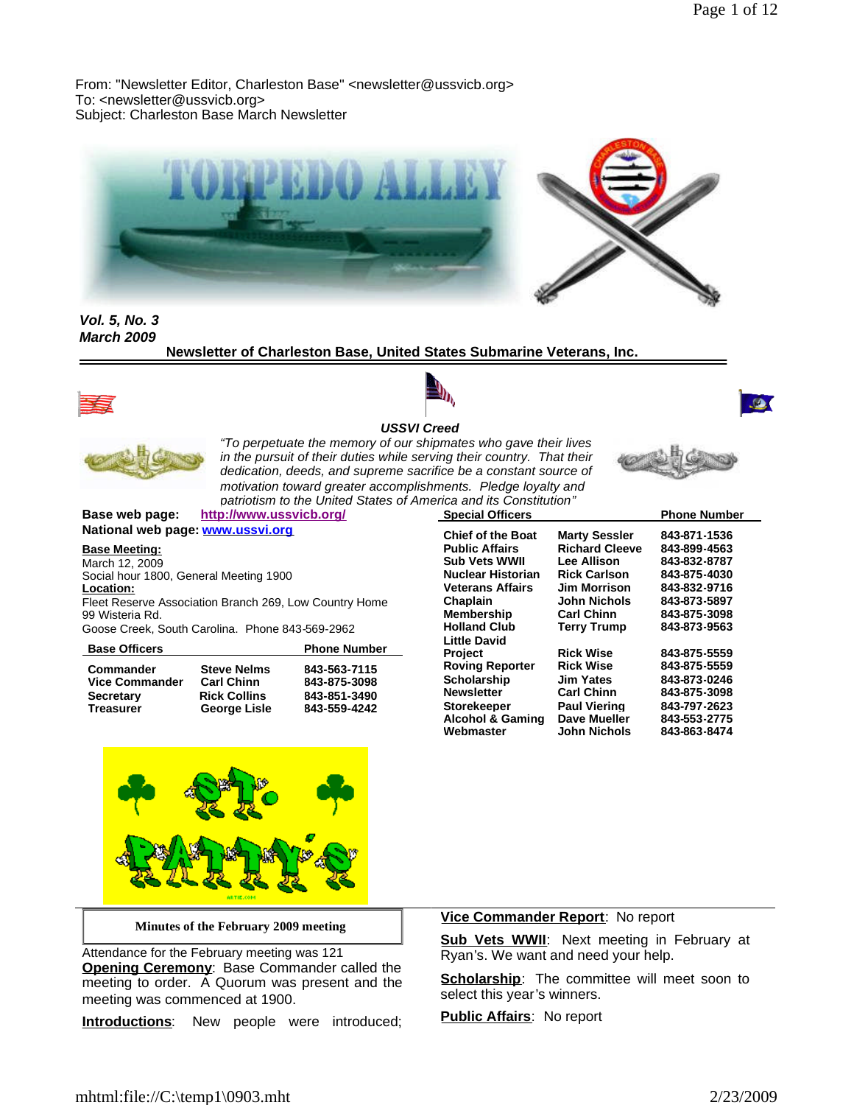From: "Newsletter Editor, Charleston Base" <newsletter@ussvicb.org> To: <newsletter@ussvicb.org> Subject: Charleston Base March Newsletter



*Vol. 5, No. 3 March 2009*

**Newsletter of Charleston Base, United States Submarine Veterans, Inc.**







ا ہے۔



*USSVI Creed "To perpetuate the memory of our shipmates who gave their lives in the pursuit of their duties while serving their country. That their dedication, deeds, and supreme sacrifice be a constant source of motivation toward greater accomplishments. Pledge loyalty and patriotism to the United States of America and its Constitution"*

**Base web page: http://www.ussvicb.org/ National web page: www.ussvi.org**

**Base Meeting:**

March 12, 2009 Social hour 1800, General Meeting 1900 **Location:**

Fleet Reserve Association Branch 269, Low Country Home 99 Wisteria Rd.

Goose Creek, South Carolina. Phone 843-569-2962

| <b>Base Officers</b>  |                     | <b>Phone Number</b> |
|-----------------------|---------------------|---------------------|
| Commander             | <b>Steve Nelms</b>  | 843-563-7115        |
| <b>Vice Commander</b> | <b>Carl Chinn</b>   | 843-875-3098        |
| <b>Secretary</b>      | <b>Rick Collins</b> | 843-851-3490        |
| <b>Treasurer</b>      | George Lisle        | 843-559-4242        |





**Minutes of the February 2009 meeting**

Attendance for the February meeting was 121 **Opening Ceremony**: Base Commander called the meeting to order. A Quorum was present and the meeting was commenced at 1900.

**Introductions**: New people were introduced;

### **Vice Commander Report**: No report

**Sub Vets WWII:** Next meeting in February at Ryan's. We want and need your help.

**Scholarship:** The committee will meet soon to select this year's winners.

**Public Affairs**: No report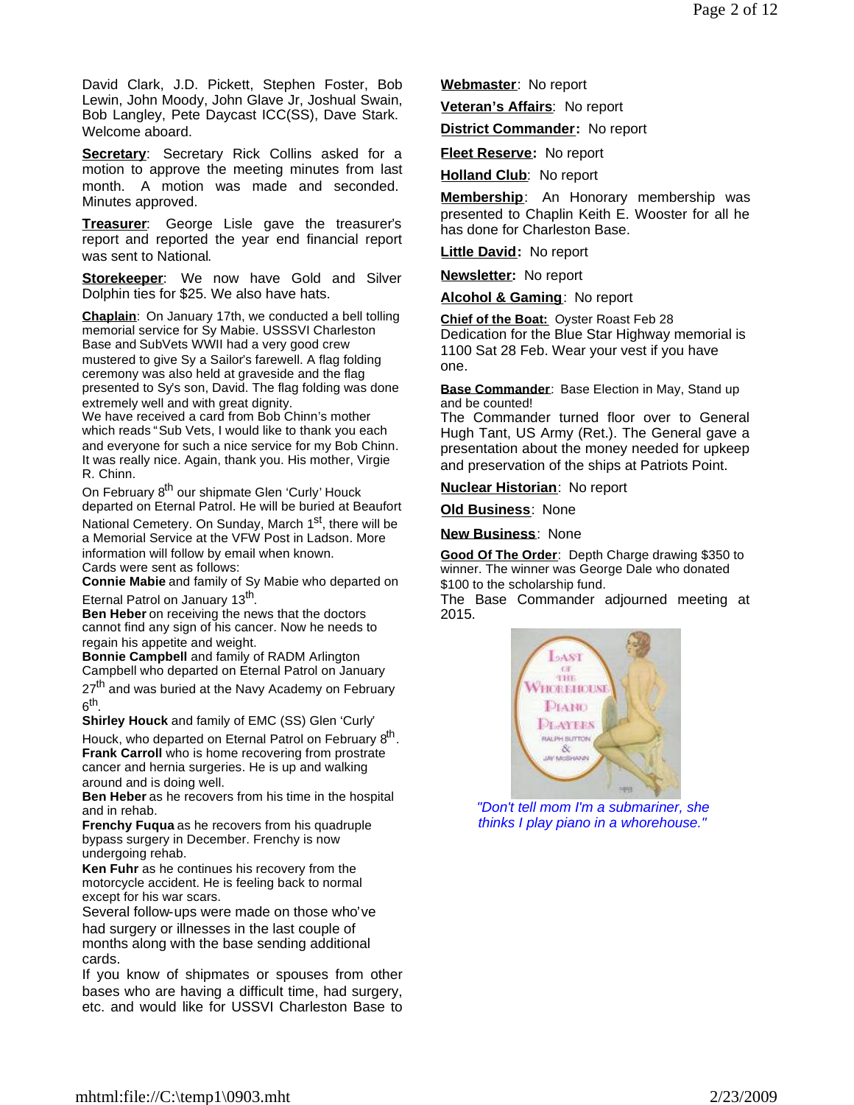David Clark, J.D. Pickett, Stephen Foster, Bob Lewin, John Moody, John Glave Jr, Joshual Swain, Bob Langley, Pete Daycast ICC(SS), Dave Stark. Welcome aboard.

**Secretary:** Secretary Rick Collins asked for a motion to approve the meeting minutes from last month. A motion was made and seconded. Minutes approved.

**Treasurer**: George Lisle gave the treasurer's report and reported the year end financial report was sent to National.

**Storekeeper**: We now have Gold and Silver Dolphin ties for \$25. We also have hats.

**Chaplain**: On January 17th, we conducted a bell tolling memorial service for Sy Mabie. USSSVI Charleston Base and SubVets WWII had a very good crew mustered to give Sy a Sailor's farewell. A flag folding ceremony was also held at graveside and the flag presented to Sy's son, David. The flag folding was done extremely well and with great dignity.

We have received a card from Bob Chinn's mother which reads "Sub Vets, I would like to thank you each and everyone for such a nice service for my Bob Chinn. It was really nice. Again, thank you. His mother, Virgie R. Chinn.

On February 8<sup>th</sup> our shipmate Glen 'Curly' Houck departed on Eternal Patrol. He will be buried at Beaufort National Cemetery. On Sunday, March 1<sup>st</sup>, there will be

a Memorial Service at the VFW Post in Ladson. More information will follow by email when known. Cards were sent as follows:

**Connie Mabie** and family of Sy Mabie who departed on Eternal Patrol on January 13<sup>th</sup>.

**Ben Heber** on receiving the news that the doctors cannot find any sign of his cancer. Now he needs to regain his appetite and weight.

**Bonnie Campbell** and family of RADM Arlington Campbell who departed on Eternal Patrol on January

27<sup>th</sup> and was buried at the Navy Academy on February  $6^{\sf th}$ .

**Shirley Houck** and family of EMC (SS) Glen 'Curly'

Houck, who departed on Eternal Patrol on February 8<sup>th</sup>. **Frank Carroll** who is home recovering from prostrate cancer and hernia surgeries. He is up and walking around and is doing well.

**Ben Heber** as he recovers from his time in the hospital and in rehab.

**Frenchy Fuqua** as he recovers from his quadruple bypass surgery in December. Frenchy is now undergoing rehab.

**Ken Fuhr** as he continues his recovery from the motorcycle accident. He is feeling back to normal except for his war scars.

Several follow-ups were made on those who've had surgery or illnesses in the last couple of months along with the base sending additional cards.

If you know of shipmates or spouses from other bases who are having a difficult time, had surgery, etc. and would like for USSVI Charleston Base to

**Webmaster**: No report

**Veteran's Affairs**: No report

**District Commander:** No report

**Fleet Reserve:** No report

**Holland Club**: No report

**Membership**: An Honorary membership was presented to Chaplin Keith E. Wooster for all he has done for Charleston Base.

**Little David:** No report

**Newsletter:** No report

**Alcohol & Gaming**: No report

**Chief of the Boat:** Oyster Roast Feb 28 Dedication for the Blue Star Highway memorial is 1100 Sat 28 Feb. Wear your vest if you have one.

**Base Commander**: Base Election in May, Stand up and be counted!

The Commander turned floor over to General Hugh Tant, US Army (Ret.). The General gave a presentation about the money needed for upkeep and preservation of the ships at Patriots Point.

**Nuclear Historian**: No report

**Old Business**: None

**New Business**: None

**Good Of The Order**: Depth Charge drawing \$350 to winner. The winner was George Dale who donated \$100 to the scholarship fund.

The Base Commander adjourned meeting at 2015.



*"Don't tell mom I'm a submariner, she thinks I play piano in a whorehouse."*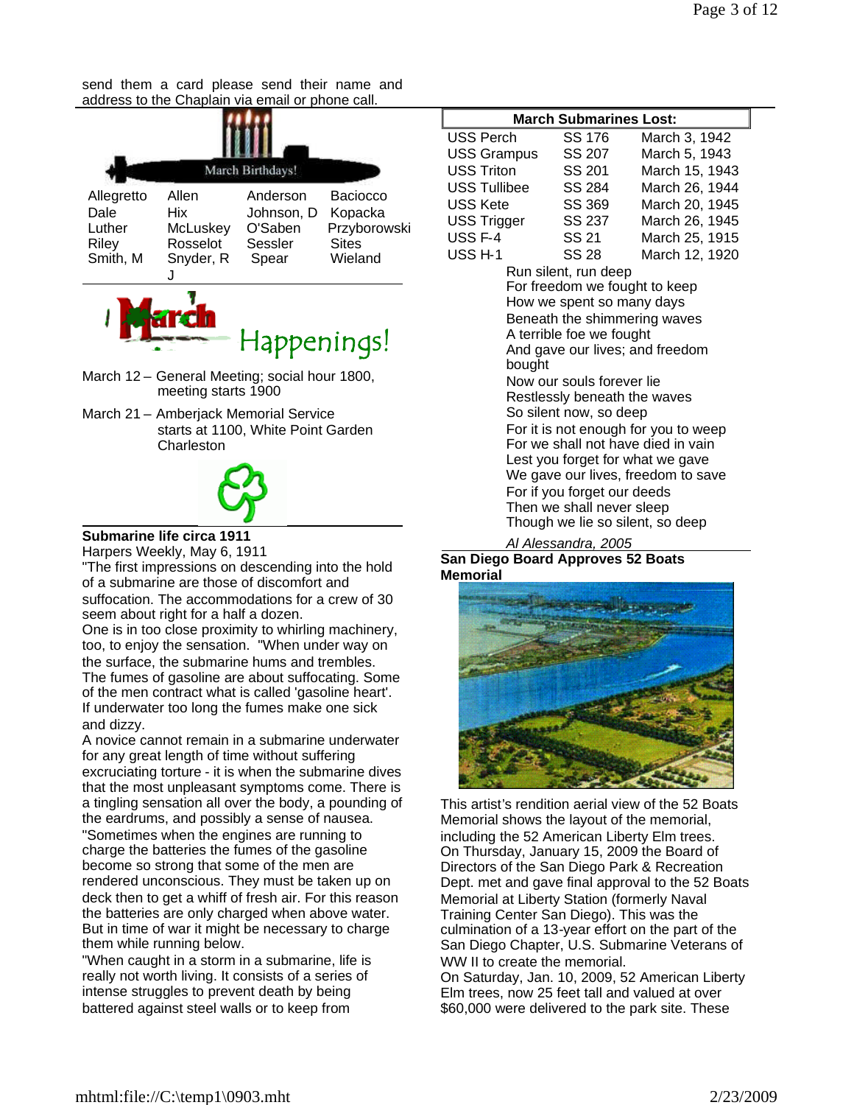send them a card please send their name and address to the Chaplain via email or phone call.





- March 12 General Meeting; social hour 1800, meeting starts 1900
- March 21 Amberjack Memorial Service starts at 1100, White Point Garden **Charleston**



# **Submarine life circa 1911**

Harpers Weekly, May 6, 1911

"The first impressions on descending into the hold of a submarine are those of discomfort and suffocation. The accommodations for a crew of 30 seem about right for a half a dozen.

One is in too close proximity to whirling machinery, too, to enjoy the sensation. "When under way on the surface, the submarine hums and trembles. The fumes of gasoline are about suffocating. Some of the men contract what is called 'gasoline heart'. If underwater too long the fumes make one sick and dizzy.

A novice cannot remain in a submarine underwater for any great length of time without suffering excruciating torture - it is when the submarine dives that the most unpleasant symptoms come. There is a tingling sensation all over the body, a pounding of the eardrums, and possibly a sense of nausea. "Sometimes when the engines are running to charge the batteries the fumes of the gasoline become so strong that some of the men are rendered unconscious. They must be taken up on deck then to get a whiff of fresh air. For this reason the batteries are only charged when above water. But in time of war it might be necessary to charge them while running below.

"When caught in a storm in a submarine, life is really not worth living. It consists of a series of intense struggles to prevent death by being battered against steel walls or to keep from

| MAICH JUDINAI IN <del>C</del> S LUSL.                                                                                                                                                                                                                                                                                                                                                                                                                                                                                                      |        |                |  |
|--------------------------------------------------------------------------------------------------------------------------------------------------------------------------------------------------------------------------------------------------------------------------------------------------------------------------------------------------------------------------------------------------------------------------------------------------------------------------------------------------------------------------------------------|--------|----------------|--|
| USS Perch                                                                                                                                                                                                                                                                                                                                                                                                                                                                                                                                  | SS 176 | March 3, 1942  |  |
| USS Grampus                                                                                                                                                                                                                                                                                                                                                                                                                                                                                                                                | SS 207 | March 5, 1943  |  |
| <b>USS Triton</b>                                                                                                                                                                                                                                                                                                                                                                                                                                                                                                                          | SS 201 | March 15, 1943 |  |
| USS Tullibee                                                                                                                                                                                                                                                                                                                                                                                                                                                                                                                               | SS 284 | March 26, 1944 |  |
| USS Kete                                                                                                                                                                                                                                                                                                                                                                                                                                                                                                                                   | SS 369 | March 20, 1945 |  |
| USS Trigger                                                                                                                                                                                                                                                                                                                                                                                                                                                                                                                                | SS 237 | March 26, 1945 |  |
| USS <sub>F-4</sub>                                                                                                                                                                                                                                                                                                                                                                                                                                                                                                                         | SS 21  | March 25, 1915 |  |
| USS <sub>H-1</sub>                                                                                                                                                                                                                                                                                                                                                                                                                                                                                                                         | SS 28  | March 12, 1920 |  |
| Run silent, run deep<br>For freedom we fought to keep<br>How we spent so many days<br>Beneath the shimmering waves<br>A terrible foe we fought<br>And gave our lives; and freedom<br>bought<br>Now our souls forever lie<br>Restlessly beneath the waves<br>So silent now, so deep<br>For it is not enough for you to weep<br>For we shall not have died in vain<br>Lest you forget for what we gave<br>We gave our lives, freedom to save<br>For if you forget our deeds<br>Then we shall never sleep<br>Though we lie so silent, so deep |        |                |  |

**March Submarines Lost:**

#### *Al Alessandra, 2005* **San Diego Board Approves 52 Boats Memorial**



This artist's rendition aerial view of the 52 Boats Memorial shows the layout of the memorial, including the 52 American Liberty Elm trees. On Thursday, January 15, 2009 the Board of Directors of the San Diego Park & Recreation Dept. met and gave final approval to the 52 Boats Memorial at Liberty Station (formerly Naval Training Center San Diego). This was the culmination of a 13-year effort on the part of the San Diego Chapter, U.S. Submarine Veterans of WW II to create the memorial.

On Saturday, Jan. 10, 2009, 52 American Liberty Elm trees, now 25 feet tall and valued at over \$60,000 were delivered to the park site. These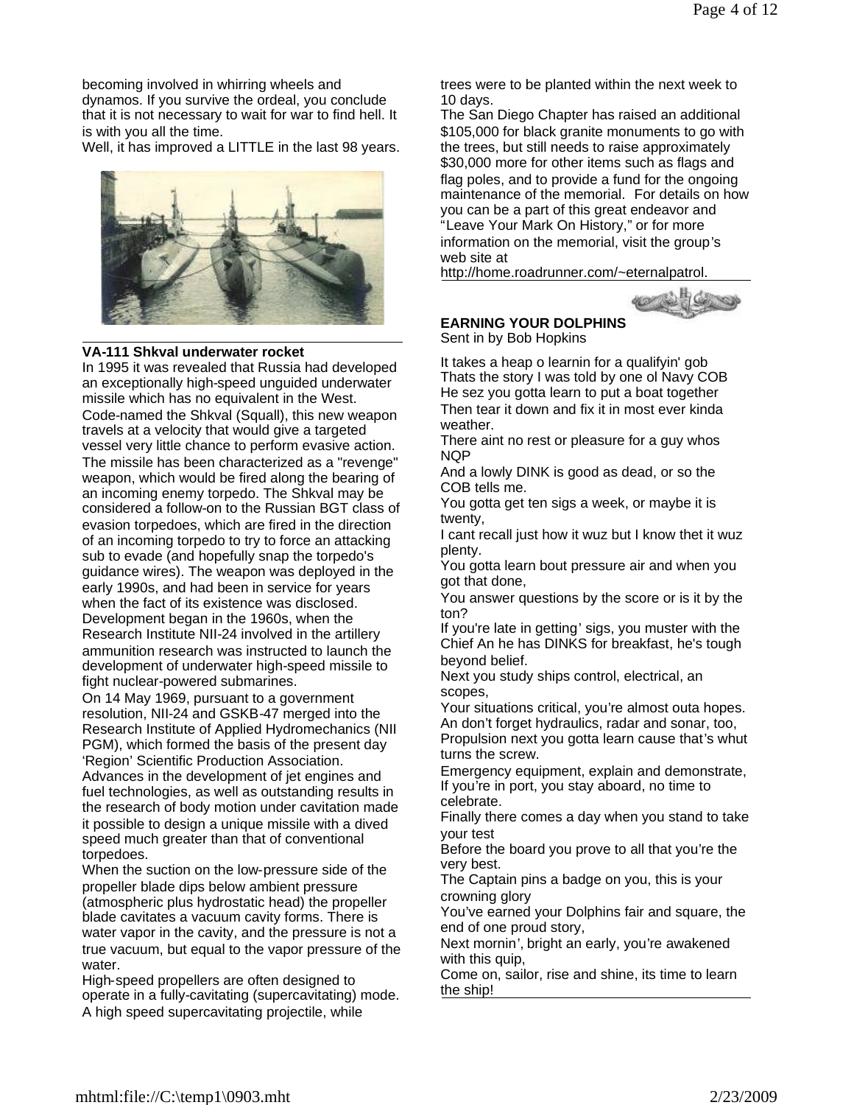becoming involved in whirring wheels and dynamos. If you survive the ordeal, you conclude that it is not necessary to wait for war to find hell. It is with you all the time.

Well, it has improved a LITTLE in the last 98 years.



#### **VA-111 Shkval underwater rocket**

In 1995 it was revealed that Russia had developed an exceptionally high-speed unguided underwater missile which has no equivalent in the West. Code-named the Shkval (Squall), this new weapon travels at a velocity that would give a targeted vessel very little chance to perform evasive action. The missile has been characterized as a "revenge" weapon, which would be fired along the bearing of an incoming enemy torpedo. The Shkval may be considered a follow-on to the Russian BGT class of evasion torpedoes, which are fired in the direction of an incoming torpedo to try to force an attacking sub to evade (and hopefully snap the torpedo's guidance wires). The weapon was deployed in the early 1990s, and had been in service for years when the fact of its existence was disclosed. Development began in the 1960s, when the Research Institute NII-24 involved in the artillery ammunition research was instructed to launch the development of underwater high-speed missile to fight nuclear-powered submarines.

On 14 May 1969, pursuant to a government resolution, NII-24 and GSKB-47 merged into the Research Institute of Applied Hydromechanics (NII PGM), which formed the basis of the present day 'Region' Scientific Production Association. Advances in the development of jet engines and fuel technologies, as well as outstanding results in the research of body motion under cavitation made it possible to design a unique missile with a dived speed much greater than that of conventional torpedoes.

When the suction on the low-pressure side of the propeller blade dips below ambient pressure (atmospheric plus hydrostatic head) the propeller blade cavitates a vacuum cavity forms. There is water vapor in the cavity, and the pressure is not a true vacuum, but equal to the vapor pressure of the water.

High-speed propellers are often designed to operate in a fully-cavitating (supercavitating) mode. A high speed supercavitating projectile, while

trees were to be planted within the next week to 10 days.

The San Diego Chapter has raised an additional \$105,000 for black granite monuments to go with the trees, but still needs to raise approximately \$30,000 more for other items such as flags and flag poles, and to provide a fund for the ongoing maintenance of the memorial. For details on how you can be a part of this great endeavor and "Leave Your Mark On History," or for more information on the memorial, visit the group's web site at

http://home.roadrunner.com/~eternalpatrol.



# **EARNING YOUR DOLPHINS**

Sent in by Bob Hopkins

It takes a heap o learnin for a qualifyin' gob Thats the story I was told by one ol Navy COB He sez you gotta learn to put a boat together Then tear it down and fix it in most ever kinda weather.

There aint no rest or pleasure for a guy whos NQP

And a lowly DINK is good as dead, or so the COB tells me.

You gotta get ten sigs a week, or maybe it is twenty,

I cant recall just how it wuz but I know thet it wuz plenty.

You gotta learn bout pressure air and when you got that done,

You answer questions by the score or is it by the ton?

If you're late in getting' sigs, you muster with the Chief An he has DINKS for breakfast, he's tough beyond belief.

Next you study ships control, electrical, an scopes,

Your situations critical, you're almost outa hopes. An don't forget hydraulics, radar and sonar, too,

Propulsion next you gotta learn cause that's whut turns the screw.

Emergency equipment, explain and demonstrate, If you're in port, you stay aboard, no time to celebrate.

Finally there comes a day when you stand to take your test

Before the board you prove to all that you're the very best.

The Captain pins a badge on you, this is your crowning glory

You've earned your Dolphins fair and square, the end of one proud story,

Next mornin', bright an early, you're awakened with this quip,

Come on, sailor, rise and shine, its time to learn the ship!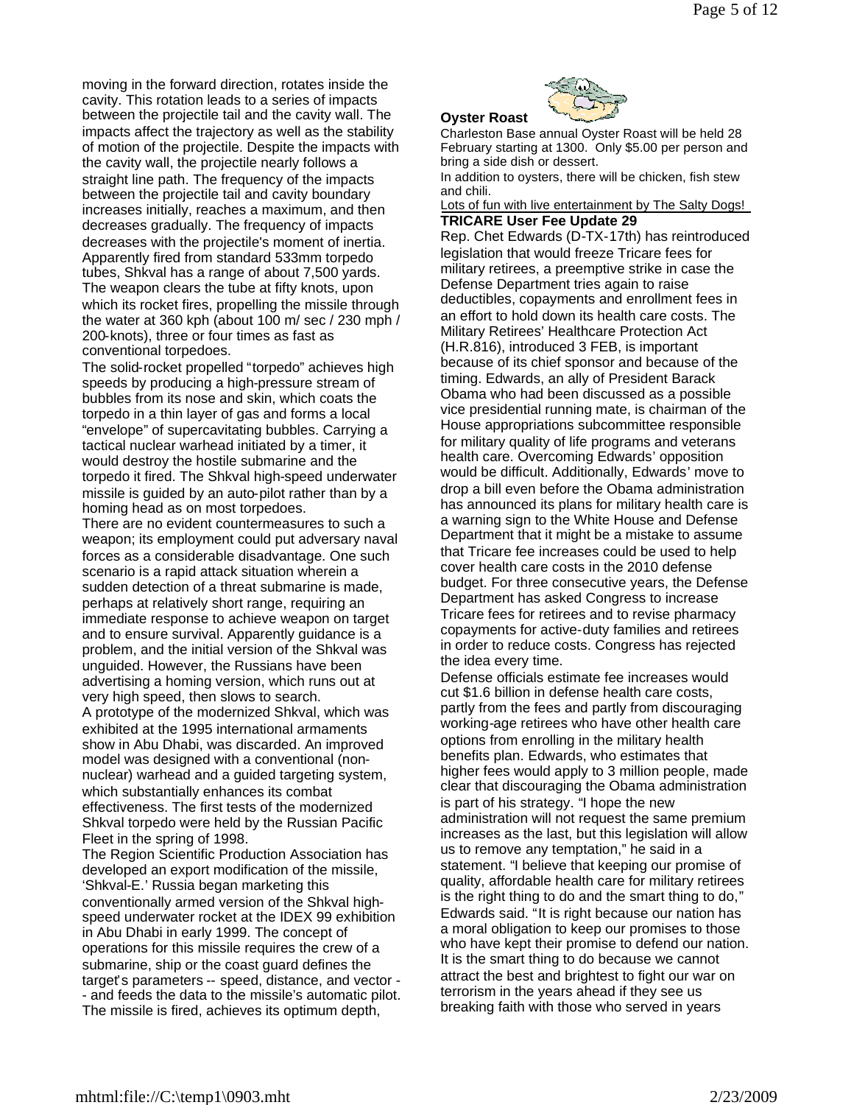moving in the forward direction, rotates inside the cavity. This rotation leads to a series of impacts between the projectile tail and the cavity wall. The impacts affect the trajectory as well as the stability of motion of the projectile. Despite the impacts with the cavity wall, the projectile nearly follows a straight line path. The frequency of the impacts between the projectile tail and cavity boundary increases initially, reaches a maximum, and then decreases gradually. The frequency of impacts decreases with the projectile's moment of inertia. Apparently fired from standard 533mm torpedo tubes, Shkval has a range of about 7,500 yards. The weapon clears the tube at fifty knots, upon which its rocket fires, propelling the missile through the water at 360 kph (about 100 m/ sec / 230 mph / 200-knots), three or four times as fast as conventional torpedoes.

The solid-rocket propelled "torpedo" achieves high speeds by producing a high-pressure stream of bubbles from its nose and skin, which coats the torpedo in a thin layer of gas and forms a local "envelope" of supercavitating bubbles. Carrying a tactical nuclear warhead initiated by a timer, it would destroy the hostile submarine and the torpedo it fired. The Shkval high-speed underwater missile is guided by an auto-pilot rather than by a homing head as on most torpedoes.

There are no evident countermeasures to such a weapon; its employment could put adversary naval forces as a considerable disadvantage. One such scenario is a rapid attack situation wherein a sudden detection of a threat submarine is made, perhaps at relatively short range, requiring an immediate response to achieve weapon on target and to ensure survival. Apparently guidance is a problem, and the initial version of the Shkval was unguided. However, the Russians have been advertising a homing version, which runs out at very high speed, then slows to search.

A prototype of the modernized Shkval, which was exhibited at the 1995 international armaments show in Abu Dhabi, was discarded. An improved model was designed with a conventional (nonnuclear) warhead and a guided targeting system, which substantially enhances its combat effectiveness. The first tests of the modernized Shkval torpedo were held by the Russian Pacific Fleet in the spring of 1998.

The Region Scientific Production Association has developed an export modification of the missile, 'Shkval-E.' Russia began marketing this conventionally armed version of the Shkval highspeed underwater rocket at the IDEX 99 exhibition in Abu Dhabi in early 1999. The concept of operations for this missile requires the crew of a submarine, ship or the coast guard defines the target's parameters -- speed, distance, and vector - - and feeds the data to the missile's automatic pilot. The missile is fired, achieves its optimum depth,

**Oyster Roast**

Charleston Base annual Oyster Roast will be held 28 February starting at 1300. Only \$5.00 per person and bring a side dish or dessert.

In addition to oysters, there will be chicken, fish stew and chili.

Lots of fun with live entertainment by The Salty Dogs! **TRICARE User Fee Update 29**

Rep. Chet Edwards (D-TX-17th) has reintroduced legislation that would freeze Tricare fees for military retirees, a preemptive strike in case the Defense Department tries again to raise deductibles, copayments and enrollment fees in an effort to hold down its health care costs. The Military Retirees' Healthcare Protection Act (H.R.816), introduced 3 FEB, is important because of its chief sponsor and because of the timing. Edwards, an ally of President Barack Obama who had been discussed as a possible vice presidential running mate, is chairman of the House appropriations subcommittee responsible for military quality of life programs and veterans health care. Overcoming Edwards' opposition would be difficult. Additionally, Edwards' move to drop a bill even before the Obama administration has announced its plans for military health care is a warning sign to the White House and Defense Department that it might be a mistake to assume that Tricare fee increases could be used to help cover health care costs in the 2010 defense budget. For three consecutive years, the Defense Department has asked Congress to increase Tricare fees for retirees and to revise pharmacy copayments for active-duty families and retirees in order to reduce costs. Congress has rejected the idea every time.

Defense officials estimate fee increases would cut \$1.6 billion in defense health care costs, partly from the fees and partly from discouraging working-age retirees who have other health care options from enrolling in the military health benefits plan. Edwards, who estimates that higher fees would apply to 3 million people, made clear that discouraging the Obama administration is part of his strategy. "I hope the new administration will not request the same premium increases as the last, but this legislation will allow us to remove any temptation," he said in a statement. "I believe that keeping our promise of quality, affordable health care for military retirees is the right thing to do and the smart thing to do," Edwards said. "It is right because our nation has a moral obligation to keep our promises to those who have kept their promise to defend our nation. It is the smart thing to do because we cannot attract the best and brightest to fight our war on terrorism in the years ahead if they see us breaking faith with those who served in years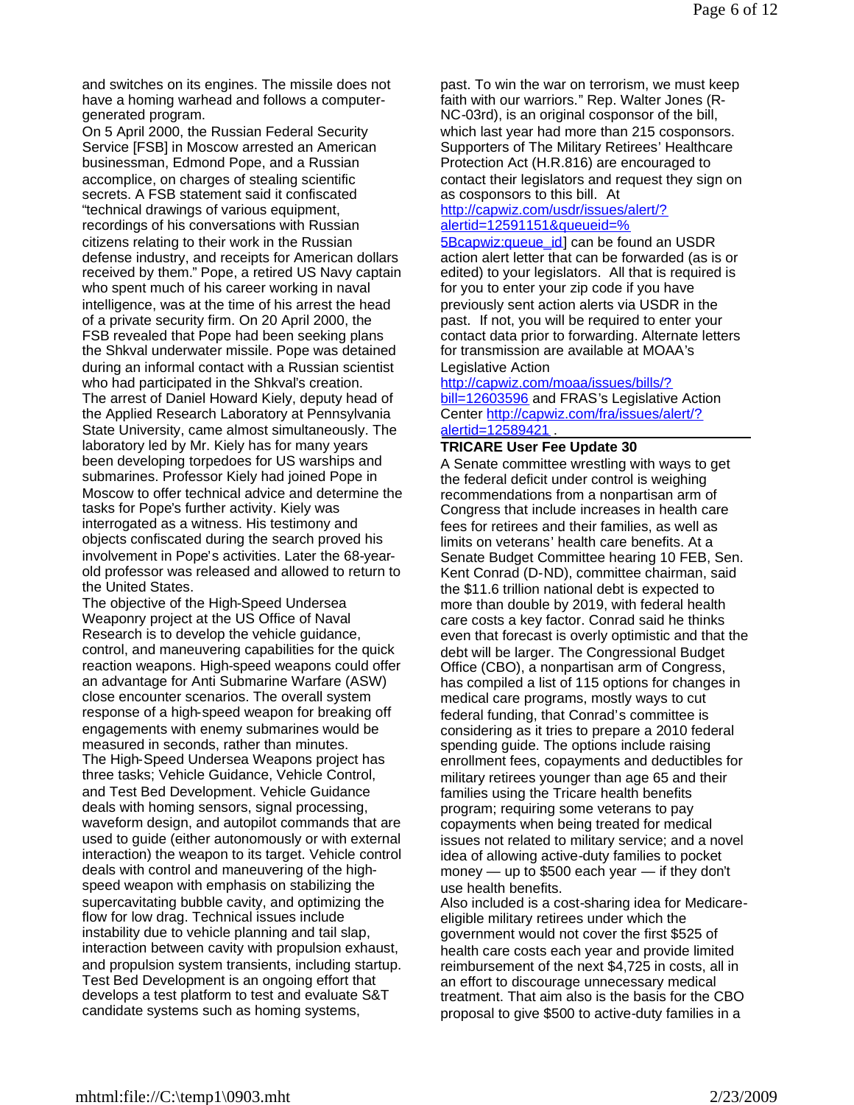and switches on its engines. The missile does not have a homing warhead and follows a computergenerated program.

On 5 April 2000, the Russian Federal Security Service [FSB] in Moscow arrested an American businessman, Edmond Pope, and a Russian accomplice, on charges of stealing scientific secrets. A FSB statement said it confiscated "technical drawings of various equipment, recordings of his conversations with Russian citizens relating to their work in the Russian defense industry, and receipts for American dollars received by them." Pope, a retired US Navy captain who spent much of his career working in naval intelligence, was at the time of his arrest the head of a private security firm. On 20 April 2000, the FSB revealed that Pope had been seeking plans the Shkval underwater missile. Pope was detained during an informal contact with a Russian scientist who had participated in the Shkval's creation. The arrest of Daniel Howard Kiely, deputy head of the Applied Research Laboratory at Pennsylvania State University, came almost simultaneously. The laboratory led by Mr. Kiely has for many years been developing torpedoes for US warships and submarines. Professor Kiely had joined Pope in Moscow to offer technical advice and determine the tasks for Pope's further activity. Kiely was interrogated as a witness. His testimony and objects confiscated during the search proved his involvement in Pope's activities. Later the 68-yearold professor was released and allowed to return to the United States.

The objective of the High-Speed Undersea Weaponry project at the US Office of Naval Research is to develop the vehicle guidance, control, and maneuvering capabilities for the quick reaction weapons. High-speed weapons could offer an advantage for Anti Submarine Warfare (ASW) close encounter scenarios. The overall system response of a high-speed weapon for breaking off engagements with enemy submarines would be measured in seconds, rather than minutes. The High-Speed Undersea Weapons project has three tasks; Vehicle Guidance, Vehicle Control, and Test Bed Development. Vehicle Guidance deals with homing sensors, signal processing, waveform design, and autopilot commands that are used to guide (either autonomously or with external interaction) the weapon to its target. Vehicle control deals with control and maneuvering of the highspeed weapon with emphasis on stabilizing the supercavitating bubble cavity, and optimizing the flow for low drag. Technical issues include instability due to vehicle planning and tail slap, interaction between cavity with propulsion exhaust, and propulsion system transients, including startup. Test Bed Development is an ongoing effort that develops a test platform to test and evaluate S&T candidate systems such as homing systems,

past. To win the war on terrorism, we must keep faith with our warriors." Rep. Walter Jones (R-NC-03rd), is an original cosponsor of the bill, which last year had more than 215 cosponsors. Supporters of The Military Retirees' Healthcare Protection Act (H.R.816) are encouraged to contact their legislators and request they sign on as cosponsors to this bill. At

# http://capwiz.com/usdr/issues/alert/? alertid=12591151&queueid=%

5Bcapwiz:queue\_id] can be found an USDR action alert letter that can be forwarded (as is or edited) to your legislators. All that is required is for you to enter your zip code if you have previously sent action alerts via USDR in the past. If not, you will be required to enter your contact data prior to forwarding. Alternate letters for transmission are available at MOAA's Legislative Action

# http://capwiz.com/moaa/issues/bills/?

bill=12603596 and FRAS's Legislative Action Center http://capwiz.com/fra/issues/alert/? alertid=12589421 .

#### **TRICARE User Fee Update 30**

A Senate committee wrestling with ways to get the federal deficit under control is weighing recommendations from a nonpartisan arm of Congress that include increases in health care fees for retirees and their families, as well as limits on veterans' health care benefits. At a Senate Budget Committee hearing 10 FEB, Sen. Kent Conrad (D-ND), committee chairman, said the \$11.6 trillion national debt is expected to more than double by 2019, with federal health care costs a key factor. Conrad said he thinks even that forecast is overly optimistic and that the debt will be larger. The Congressional Budget Office (CBO), a nonpartisan arm of Congress, has compiled a list of 115 options for changes in medical care programs, mostly ways to cut federal funding, that Conrad's committee is considering as it tries to prepare a 2010 federal spending guide. The options include raising enrollment fees, copayments and deductibles for military retirees younger than age 65 and their families using the Tricare health benefits program; requiring some veterans to pay copayments when being treated for medical issues not related to military service; and a novel idea of allowing active-duty families to pocket money — up to \$500 each year — if they don't use health benefits.

Also included is a cost-sharing idea for Medicareeligible military retirees under which the government would not cover the first \$525 of health care costs each year and provide limited reimbursement of the next \$4,725 in costs, all in an effort to discourage unnecessary medical treatment. That aim also is the basis for the CBO proposal to give \$500 to active-duty families in a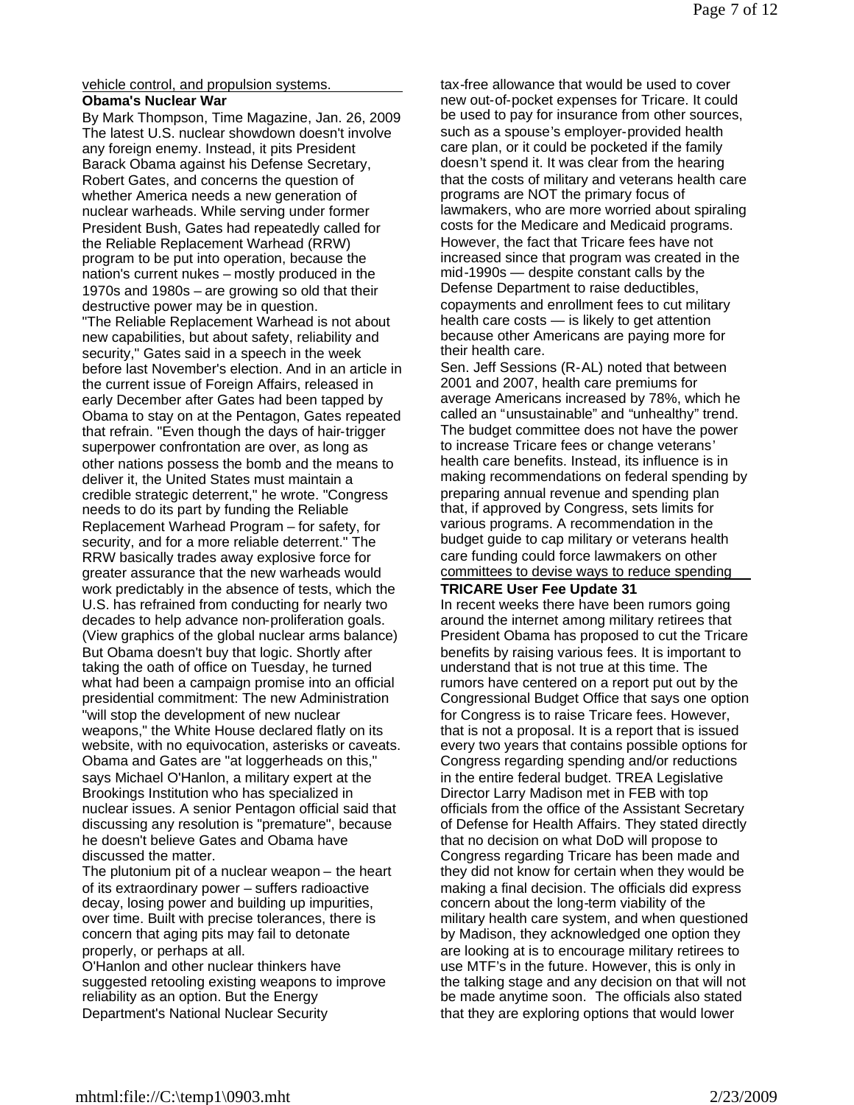vehicle control, and propulsion systems.

# **Obama's Nuclear War**

By Mark Thompson, Time Magazine, Jan. 26, 2009 The latest U.S. nuclear showdown doesn't involve any foreign enemy. Instead, it pits President Barack Obama against his Defense Secretary, Robert Gates, and concerns the question of whether America needs a new generation of nuclear warheads. While serving under former President Bush, Gates had repeatedly called for the Reliable Replacement Warhead (RRW) program to be put into operation, because the nation's current nukes – mostly produced in the 1970s and 1980s – are growing so old that their destructive power may be in question.

"The Reliable Replacement Warhead is not about new capabilities, but about safety, reliability and security," Gates said in a speech in the week before last November's election. And in an article in the current issue of Foreign Affairs, released in early December after Gates had been tapped by Obama to stay on at the Pentagon, Gates repeated that refrain. "Even though the days of hair-trigger superpower confrontation are over, as long as other nations possess the bomb and the means to deliver it, the United States must maintain a credible strategic deterrent," he wrote. "Congress needs to do its part by funding the Reliable Replacement Warhead Program – for safety, for security, and for a more reliable deterrent." The RRW basically trades away explosive force for greater assurance that the new warheads would work predictably in the absence of tests, which the U.S. has refrained from conducting for nearly two decades to help advance non-proliferation goals. (View graphics of the global nuclear arms balance) But Obama doesn't buy that logic. Shortly after taking the oath of office on Tuesday, he turned what had been a campaign promise into an official presidential commitment: The new Administration "will stop the development of new nuclear weapons," the White House declared flatly on its website, with no equivocation, asterisks or caveats. Obama and Gates are "at loggerheads on this," says Michael O'Hanlon, a military expert at the Brookings Institution who has specialized in nuclear issues. A senior Pentagon official said that discussing any resolution is "premature", because he doesn't believe Gates and Obama have discussed the matter.

The plutonium pit of a nuclear weapon – the heart of its extraordinary power – suffers radioactive decay, losing power and building up impurities, over time. Built with precise tolerances, there is concern that aging pits may fail to detonate properly, or perhaps at all.

O'Hanlon and other nuclear thinkers have suggested retooling existing weapons to improve reliability as an option. But the Energy Department's National Nuclear Security

tax-free allowance that would be used to cover new out-of-pocket expenses for Tricare. It could be used to pay for insurance from other sources, such as a spouse's employer-provided health care plan, or it could be pocketed if the family doesn't spend it. It was clear from the hearing that the costs of military and veterans health care programs are NOT the primary focus of lawmakers, who are more worried about spiraling costs for the Medicare and Medicaid programs. However, the fact that Tricare fees have not increased since that program was created in the mid-1990s — despite constant calls by the Defense Department to raise deductibles, copayments and enrollment fees to cut military health care costs — is likely to get attention because other Americans are paying more for their health care.

Sen. Jeff Sessions (R-AL) noted that between 2001 and 2007, health care premiums for average Americans increased by 78%, which he called an "unsustainable" and "unhealthy" trend. The budget committee does not have the power to increase Tricare fees or change veterans' health care benefits. Instead, its influence is in making recommendations on federal spending by preparing annual revenue and spending plan that, if approved by Congress, sets limits for various programs. A recommendation in the budget guide to cap military or veterans health care funding could force lawmakers on other committees to devise ways to reduce spending

### **TRICARE User Fee Update 31**

In recent weeks there have been rumors going around the internet among military retirees that President Obama has proposed to cut the Tricare benefits by raising various fees. It is important to understand that is not true at this time. The rumors have centered on a report put out by the Congressional Budget Office that says one option for Congress is to raise Tricare fees. However, that is not a proposal. It is a report that is issued every two years that contains possible options for Congress regarding spending and/or reductions in the entire federal budget. TREA Legislative Director Larry Madison met in FEB with top officials from the office of the Assistant Secretary of Defense for Health Affairs. They stated directly that no decision on what DoD will propose to Congress regarding Tricare has been made and they did not know for certain when they would be making a final decision. The officials did express concern about the long-term viability of the military health care system, and when questioned by Madison, they acknowledged one option they are looking at is to encourage military retirees to use MTF's in the future. However, this is only in the talking stage and any decision on that will not be made anytime soon. The officials also stated that they are exploring options that would lower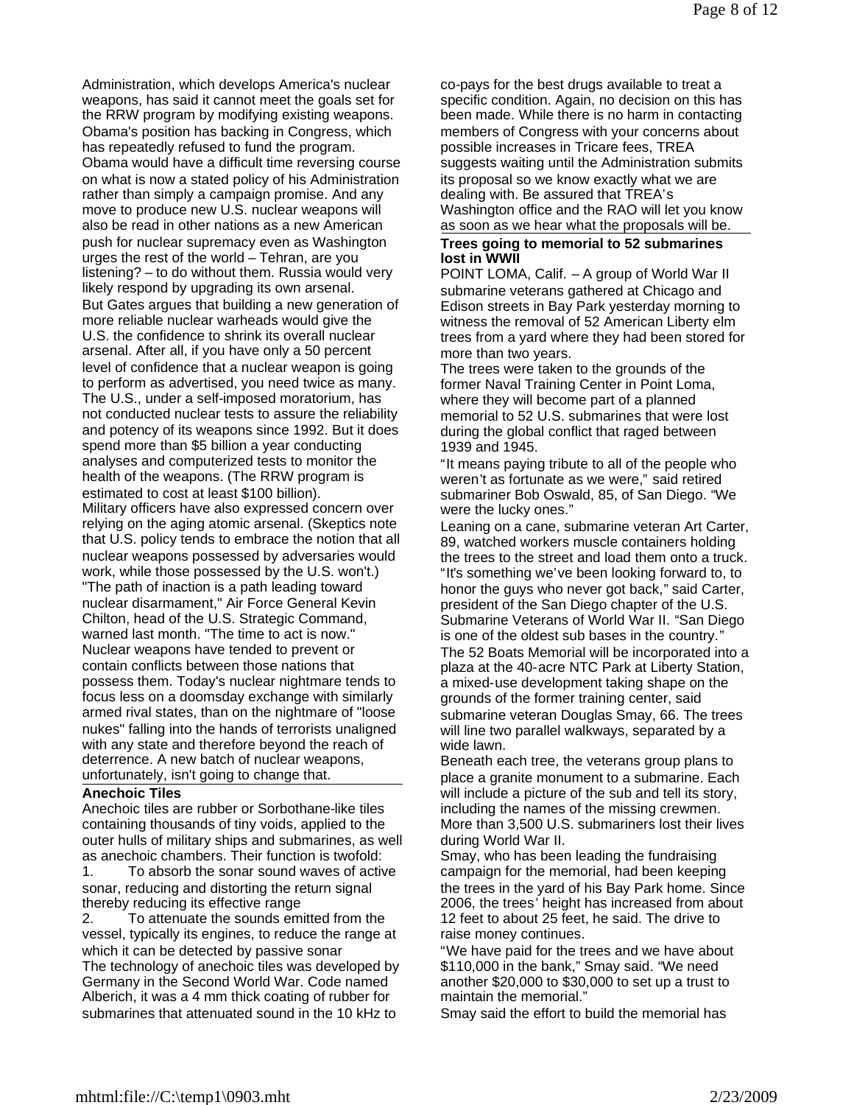Administration, which develops America's nuclear weapons, has said it cannot meet the goals set for the RRW program by modifying existing weapons. Obama's position has backing in Congress, which has repeatedly refused to fund the program. Obama would have a difficult time reversing course on what is now a stated policy of his Administration rather than simply a campaign promise. And any move to produce new U.S. nuclear weapons will also be read in other nations as a new American push for nuclear supremacy even as Washington urges the rest of the world – Tehran, are you listening? – to do without them. Russia would very likely respond by upgrading its own arsenal. But Gates argues that building a new generation of more reliable nuclear warheads would give the U.S. the confidence to shrink its overall nuclear arsenal. After all, if you have only a 50 percent level of confidence that a nuclear weapon is going to perform as advertised, you need twice as many. The U.S., under a self-imposed moratorium, has not conducted nuclear tests to assure the reliability and potency of its weapons since 1992. But it does spend more than \$5 billion a year conducting analyses and computerized tests to monitor the health of the weapons. (The RRW program is estimated to cost at least \$100 billion). Military officers have also expressed concern over relying on the aging atomic arsenal. (Skeptics note that U.S. policy tends to embrace the notion that all nuclear weapons possessed by adversaries would work, while those possessed by the U.S. won't.) "The path of inaction is a path leading toward nuclear disarmament," Air Force General Kevin Chilton, head of the U.S. Strategic Command, warned last month. "The time to act is now." Nuclear weapons have tended to prevent or contain conflicts between those nations that possess them. Today's nuclear nightmare tends to focus less on a doomsday exchange with similarly armed rival states, than on the nightmare of "loose nukes" falling into the hands of terrorists unaligned with any state and therefore beyond the reach of deterrence. A new batch of nuclear weapons, unfortunately, isn't going to change that.

#### **Anechoic Tiles**

Anechoic tiles are rubber or Sorbothane-like tiles containing thousands of tiny voids, applied to the outer hulls of military ships and submarines, as well as anechoic chambers. Their function is twofold: 1. To absorb the sonar sound waves of active sonar, reducing and distorting the return signal thereby reducing its effective range

2. To attenuate the sounds emitted from the vessel, typically its engines, to reduce the range at which it can be detected by passive sonar The technology of anechoic tiles was developed by Germany in the Second World War. Code named Alberich, it was a 4 mm thick coating of rubber for submarines that attenuated sound in the 10 kHz to

co-pays for the best drugs available to treat a specific condition. Again, no decision on this has been made. While there is no harm in contacting members of Congress with your concerns about possible increases in Tricare fees, TREA suggests waiting until the Administration submits its proposal so we know exactly what we are dealing with. Be assured that TREA's Washington office and the RAO will let you know as soon as we hear what the proposals will be.

#### **Trees going to memorial to 52 submarines lost in WWII**

POINT LOMA, Calif. – A group of World War II submarine veterans gathered at Chicago and Edison streets in Bay Park yesterday morning to witness the removal of 52 American Liberty elm trees from a yard where they had been stored for more than two years.

The trees were taken to the grounds of the former Naval Training Center in Point Loma, where they will become part of a planned memorial to 52 U.S. submarines that were lost during the global conflict that raged between 1939 and 1945.

"It means paying tribute to all of the people who weren't as fortunate as we were," said retired submariner Bob Oswald, 85, of San Diego. "We were the lucky ones."

Leaning on a cane, submarine veteran Art Carter, 89, watched workers muscle containers holding the trees to the street and load them onto a truck. "It's something we've been looking forward to, to honor the guys who never got back," said Carter, president of the San Diego chapter of the U.S. Submarine Veterans of World War II. "San Diego is one of the oldest sub bases in the country." The 52 Boats Memorial will be incorporated into a plaza at the 40-acre NTC Park at Liberty Station, a mixed-use development taking shape on the grounds of the former training center, said submarine veteran Douglas Smay, 66. The trees will line two parallel walkways, separated by a wide lawn.

Beneath each tree, the veterans group plans to place a granite monument to a submarine. Each will include a picture of the sub and tell its story, including the names of the missing crewmen. More than 3,500 U.S. submariners lost their lives during World War II.

Smay, who has been leading the fundraising campaign for the memorial, had been keeping the trees in the yard of his Bay Park home. Since 2006, the trees' height has increased from about 12 feet to about 25 feet, he said. The drive to raise money continues.

"We have paid for the trees and we have about \$110,000 in the bank," Smay said. "We need another \$20,000 to \$30,000 to set up a trust to maintain the memorial."

Smay said the effort to build the memorial has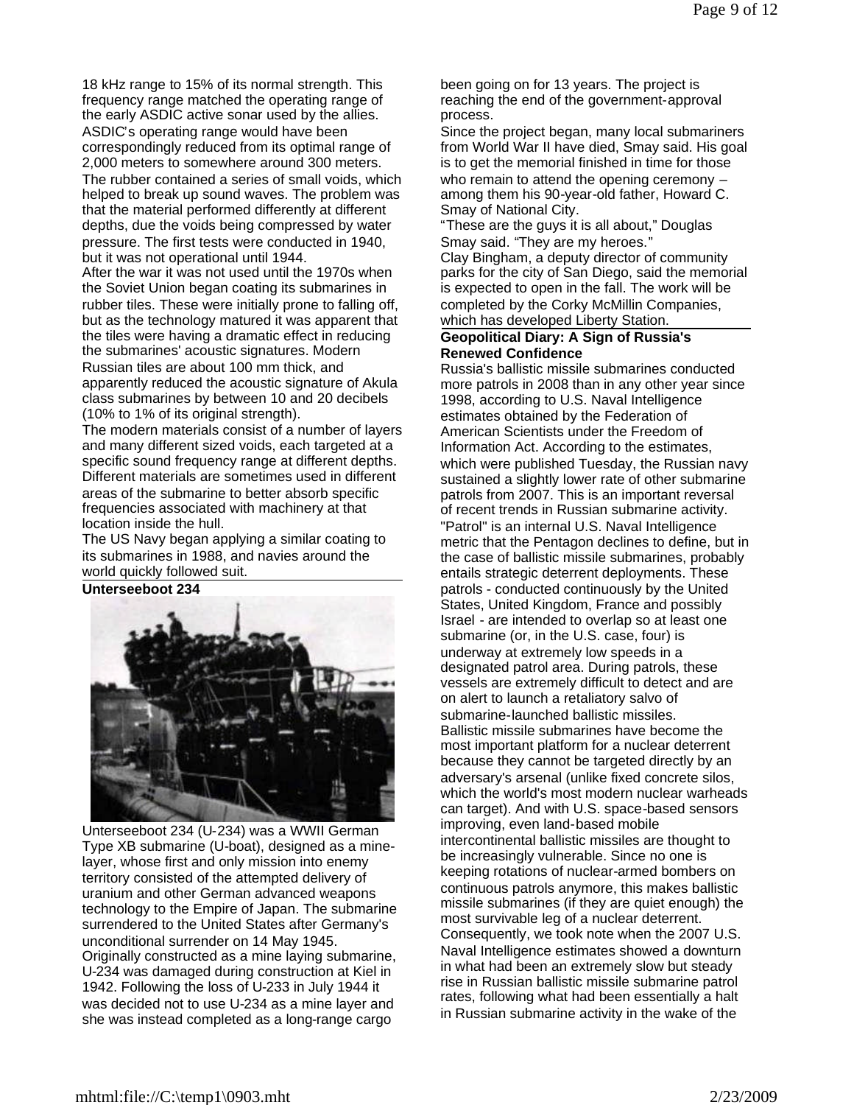18 kHz range to 15% of its normal strength. This frequency range matched the operating range of the early ASDIC active sonar used by the allies. ASDIC's operating range would have been correspondingly reduced from its optimal range of 2,000 meters to somewhere around 300 meters.

The rubber contained a series of small voids, which helped to break up sound waves. The problem was that the material performed differently at different depths, due the voids being compressed by water pressure. The first tests were conducted in 1940, but it was not operational until 1944.

After the war it was not used until the 1970s when the Soviet Union began coating its submarines in rubber tiles. These were initially prone to falling off, but as the technology matured it was apparent that the tiles were having a dramatic effect in reducing the submarines' acoustic signatures. Modern Russian tiles are about 100 mm thick, and apparently reduced the acoustic signature of Akula class submarines by between 10 and 20 decibels (10% to 1% of its original strength).

The modern materials consist of a number of layers and many different sized voids, each targeted at a specific sound frequency range at different depths. Different materials are sometimes used in different areas of the submarine to better absorb specific frequencies associated with machinery at that location inside the hull.

The US Navy began applying a similar coating to its submarines in 1988, and navies around the world quickly followed suit.

**Unterseeboot 234**



Unterseeboot 234 (U-234) was a WWII German Type XB submarine (U-boat), designed as a minelayer, whose first and only mission into enemy territory consisted of the attempted delivery of uranium and other German advanced weapons technology to the Empire of Japan. The submarine surrendered to the United States after Germany's unconditional surrender on 14 May 1945. Originally constructed as a mine laying submarine, U-234 was damaged during construction at Kiel in 1942. Following the loss of U-233 in July 1944 it was decided not to use U-234 as a mine layer and she was instead completed as a long-range cargo

been going on for 13 years. The project is reaching the end of the government-approval process.

Since the project began, many local submariners from World War II have died, Smay said. His goal is to get the memorial finished in time for those who remain to attend the opening ceremony among them his 90-year-old father, Howard C. Smay of National City.

"These are the guys it is all about," Douglas Smay said. "They are my heroes."

Clay Bingham, a deputy director of community parks for the city of San Diego, said the memorial is expected to open in the fall. The work will be completed by the Corky McMillin Companies, which has developed Liberty Station.

#### **Geopolitical Diary: A Sign of Russia's Renewed Confidence**

Russia's ballistic missile submarines conducted more patrols in 2008 than in any other year since 1998, according to U.S. Naval Intelligence estimates obtained by the Federation of American Scientists under the Freedom of Information Act. According to the estimates, which were published Tuesday, the Russian navy sustained a slightly lower rate of other submarine patrols from 2007. This is an important reversal of recent trends in Russian submarine activity. "Patrol" is an internal U.S. Naval Intelligence metric that the Pentagon declines to define, but in the case of ballistic missile submarines, probably entails strategic deterrent deployments. These patrols - conducted continuously by the United States, United Kingdom, France and possibly Israel - are intended to overlap so at least one submarine (or, in the U.S. case, four) is underway at extremely low speeds in a designated patrol area. During patrols, these vessels are extremely difficult to detect and are on alert to launch a retaliatory salvo of submarine-launched ballistic missiles. Ballistic missile submarines have become the most important platform for a nuclear deterrent because they cannot be targeted directly by an adversary's arsenal (unlike fixed concrete silos, which the world's most modern nuclear warheads can target). And with U.S. space-based sensors improving, even land-based mobile intercontinental ballistic missiles are thought to be increasingly vulnerable. Since no one is keeping rotations of nuclear-armed bombers on continuous patrols anymore, this makes ballistic missile submarines (if they are quiet enough) the most survivable leg of a nuclear deterrent. Consequently, we took note when the 2007 U.S. Naval Intelligence estimates showed a downturn in what had been an extremely slow but steady rise in Russian ballistic missile submarine patrol rates, following what had been essentially a halt in Russian submarine activity in the wake of the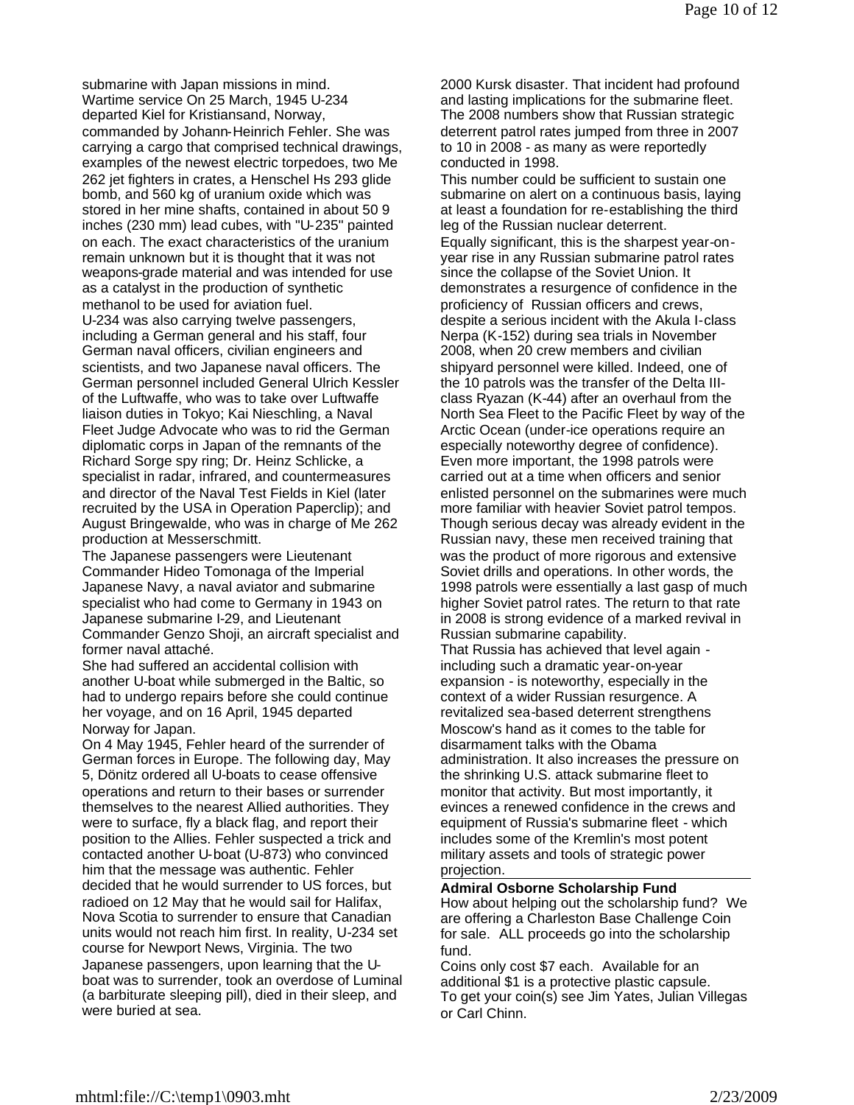submarine with Japan missions in mind. Wartime service On 25 March, 1945 U-234 departed Kiel for Kristiansand, Norway, commanded by Johann-Heinrich Fehler. She was carrying a cargo that comprised technical drawings, examples of the newest electric torpedoes, two Me 262 jet fighters in crates, a Henschel Hs 293 glide bomb, and 560 kg of uranium oxide which was stored in her mine shafts, contained in about 50 9 inches (230 mm) lead cubes, with "U-235" painted on each. The exact characteristics of the uranium remain unknown but it is thought that it was not weapons-grade material and was intended for use as a catalyst in the production of synthetic methanol to be used for aviation fuel.

U-234 was also carrying twelve passengers, including a German general and his staff, four German naval officers, civilian engineers and scientists, and two Japanese naval officers. The German personnel included General Ulrich Kessler of the Luftwaffe, who was to take over Luftwaffe liaison duties in Tokyo; Kai Nieschling, a Naval Fleet Judge Advocate who was to rid the German diplomatic corps in Japan of the remnants of the Richard Sorge spy ring; Dr. Heinz Schlicke, a specialist in radar, infrared, and countermeasures and director of the Naval Test Fields in Kiel (later recruited by the USA in Operation Paperclip); and August Bringewalde, who was in charge of Me 262 production at Messerschmitt.

The Japanese passengers were Lieutenant Commander Hideo Tomonaga of the Imperial Japanese Navy, a naval aviator and submarine specialist who had come to Germany in 1943 on Japanese submarine I-29, and Lieutenant Commander Genzo Shoji, an aircraft specialist and former naval attaché.

She had suffered an accidental collision with another U-boat while submerged in the Baltic, so had to undergo repairs before she could continue her voyage, and on 16 April, 1945 departed Norway for Japan.

On 4 May 1945, Fehler heard of the surrender of German forces in Europe. The following day, May 5, Dönitz ordered all U-boats to cease offensive operations and return to their bases or surrender themselves to the nearest Allied authorities. They were to surface, fly a black flag, and report their position to the Allies. Fehler suspected a trick and contacted another U-boat (U-873) who convinced him that the message was authentic. Fehler decided that he would surrender to US forces, but radioed on 12 May that he would sail for Halifax, Nova Scotia to surrender to ensure that Canadian units would not reach him first. In reality, U-234 set course for Newport News, Virginia. The two Japanese passengers, upon learning that the Uboat was to surrender, took an overdose of Luminal (a barbiturate sleeping pill), died in their sleep, and were buried at sea.

2000 Kursk disaster. That incident had profound and lasting implications for the submarine fleet. The 2008 numbers show that Russian strategic deterrent patrol rates jumped from three in 2007 to 10 in 2008 - as many as were reportedly conducted in 1998.

This number could be sufficient to sustain one submarine on alert on a continuous basis, laying at least a foundation for re-establishing the third leg of the Russian nuclear deterrent. Equally significant, this is the sharpest year-onyear rise in any Russian submarine patrol rates since the collapse of the Soviet Union. It demonstrates a resurgence of confidence in the proficiency of Russian officers and crews, despite a serious incident with the Akula I-class Nerpa (K-152) during sea trials in November 2008, when 20 crew members and civilian shipyard personnel were killed. Indeed, one of the 10 patrols was the transfer of the Delta IIIclass Ryazan (K-44) after an overhaul from the North Sea Fleet to the Pacific Fleet by way of the Arctic Ocean (under-ice operations require an especially noteworthy degree of confidence). Even more important, the 1998 patrols were carried out at a time when officers and senior enlisted personnel on the submarines were much more familiar with heavier Soviet patrol tempos. Though serious decay was already evident in the Russian navy, these men received training that was the product of more rigorous and extensive Soviet drills and operations. In other words, the 1998 patrols were essentially a last gasp of much higher Soviet patrol rates. The return to that rate in 2008 is strong evidence of a marked revival in Russian submarine capability. That Russia has achieved that level again -

including such a dramatic year-on-year expansion - is noteworthy, especially in the context of a wider Russian resurgence. A revitalized sea-based deterrent strengthens Moscow's hand as it comes to the table for disarmament talks with the Obama administration. It also increases the pressure on the shrinking U.S. attack submarine fleet to monitor that activity. But most importantly, it evinces a renewed confidence in the crews and equipment of Russia's submarine fleet - which includes some of the Kremlin's most potent military assets and tools of strategic power projection.

### **Admiral Osborne Scholarship Fund**

How about helping out the scholarship fund? We are offering a Charleston Base Challenge Coin for sale. ALL proceeds go into the scholarship fund.

Coins only cost \$7 each. Available for an additional \$1 is a protective plastic capsule. To get your coin(s) see Jim Yates, Julian Villegas or Carl Chinn.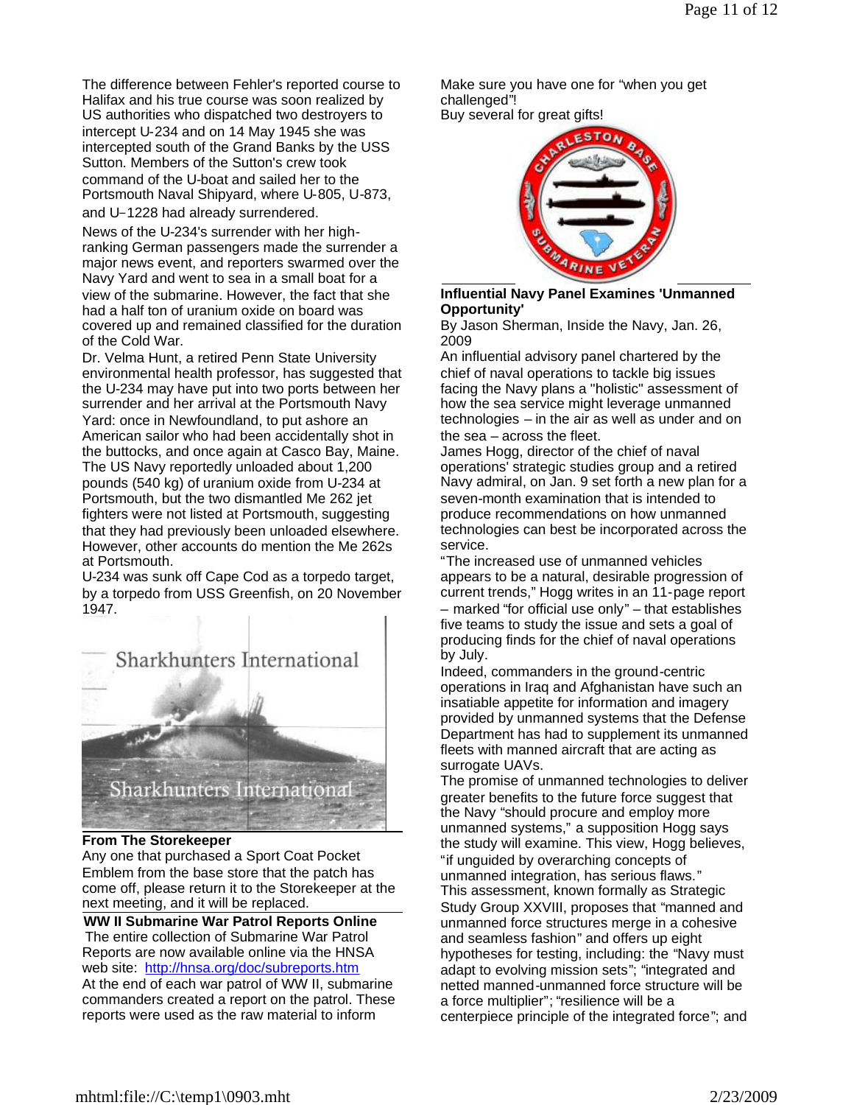The difference between Fehler's reported course to Halifax and his true course was soon realized by US authorities who dispatched two destroyers to intercept U-234 and on 14 May 1945 she was intercepted south of the Grand Banks by the USS Sutton. Members of the Sutton's crew took command of the U-boat and sailed her to the Portsmouth Naval Shipyard, where U-805, U-873, and U-1228 had already surrendered.

News of the U-234's surrender with her highranking German passengers made the surrender a major news event, and reporters swarmed over the Navy Yard and went to sea in a small boat for a view of the submarine. However, the fact that she had a half ton of uranium oxide on board was covered up and remained classified for the duration of the Cold War.

Dr. Velma Hunt, a retired Penn State University environmental health professor, has suggested that the U-234 may have put into two ports between her surrender and her arrival at the Portsmouth Navy Yard: once in Newfoundland, to put ashore an American sailor who had been accidentally shot in the buttocks, and once again at Casco Bay, Maine. The US Navy reportedly unloaded about 1,200 pounds (540 kg) of uranium oxide from U-234 at Portsmouth, but the two dismantled Me 262 jet fighters were not listed at Portsmouth, suggesting that they had previously been unloaded elsewhere. However, other accounts do mention the Me 262s at Portsmouth.

U-234 was sunk off Cape Cod as a torpedo target, by a torpedo from USS Greenfish, on 20 November 1947.



#### **From The Storekeeper**

Any one that purchased a Sport Coat Pocket Emblem from the base store that the patch has come off, please return it to the Storekeeper at the next meeting, and it will be replaced.

**WW II Submarine War Patrol Reports Online** The entire collection of Submarine War Patrol Reports are now available online via the HNSA web site: http://hnsa.org/doc/subreports.htm At the end of each war patrol of WW II, submarine commanders created a report on the patrol. These reports were used as the raw material to inform

Make sure you have one for "when you get challenged"!

Buy several for great gifts!



# **Influential Navy Panel Examines 'Unmanned Opportunity'**

By Jason Sherman, Inside the Navy, Jan. 26, 2009

An influential advisory panel chartered by the chief of naval operations to tackle big issues facing the Navy plans a "holistic" assessment of how the sea service might leverage unmanned technologies – in the air as well as under and on the sea – across the fleet.

James Hogg, director of the chief of naval operations' strategic studies group and a retired Navy admiral, on Jan. 9 set forth a new plan for a seven-month examination that is intended to produce recommendations on how unmanned technologies can best be incorporated across the service.

"The increased use of unmanned vehicles appears to be a natural, desirable progression of current trends," Hogg writes in an 11-page report – marked "for official use only" – that establishes five teams to study the issue and sets a goal of producing finds for the chief of naval operations by July.

Indeed, commanders in the ground-centric operations in Iraq and Afghanistan have such an insatiable appetite for information and imagery provided by unmanned systems that the Defense Department has had to supplement its unmanned fleets with manned aircraft that are acting as surrogate UAVs.

The promise of unmanned technologies to deliver greater benefits to the future force suggest that the Navy "should procure and employ more unmanned systems," a supposition Hogg says the study will examine. This view, Hogg believes, "if unguided by overarching concepts of unmanned integration, has serious flaws." This assessment, known formally as Strategic Study Group XXVIII, proposes that "manned and unmanned force structures merge in a cohesive and seamless fashion" and offers up eight hypotheses for testing, including: the "Navy must adapt to evolving mission sets"; "integrated and netted manned-unmanned force structure will be a force multiplier"; "resilience will be a centerpiece principle of the integrated force"; and